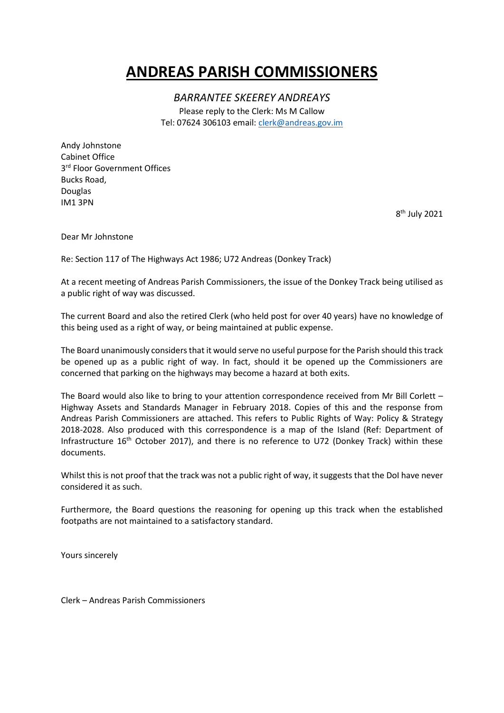## **ANDREAS PARISH COMMISSIONERS**

*BARRANTEE SKEEREY ANDREAYS*

Please reply to the Clerk: Ms M Callow Tel: 07624 306103 email: [clerk@andreas.gov.im](mailto:clerk@andreas.gov.im)

Andy Johnstone Cabinet Office 3<sup>rd</sup> Floor Government Offices Bucks Road, Douglas IM1 3PN

8 th July 2021

Dear Mr Johnstone

Re: Section 117 of The Highways Act 1986; U72 Andreas (Donkey Track)

At a recent meeting of Andreas Parish Commissioners, the issue of the Donkey Track being utilised as a public right of way was discussed.

The current Board and also the retired Clerk (who held post for over 40 years) have no knowledge of this being used as a right of way, or being maintained at public expense.

The Board unanimously considers that it would serve no useful purpose for the Parish should this track be opened up as a public right of way. In fact, should it be opened up the Commissioners are concerned that parking on the highways may become a hazard at both exits.

The Board would also like to bring to your attention correspondence received from Mr Bill Corlett – Highway Assets and Standards Manager in February 2018. Copies of this and the response from Andreas Parish Commissioners are attached. This refers to Public Rights of Way: Policy & Strategy 2018-2028. Also produced with this correspondence is a map of the Island (Ref: Department of Infrastructure  $16<sup>th</sup>$  October 2017), and there is no reference to U72 (Donkey Track) within these documents.

Whilst this is not proof that the track was not a public right of way, it suggests that the DoI have never considered it as such.

Furthermore, the Board questions the reasoning for opening up this track when the established footpaths are not maintained to a satisfactory standard.

Yours sincerely

Clerk – Andreas Parish Commissioners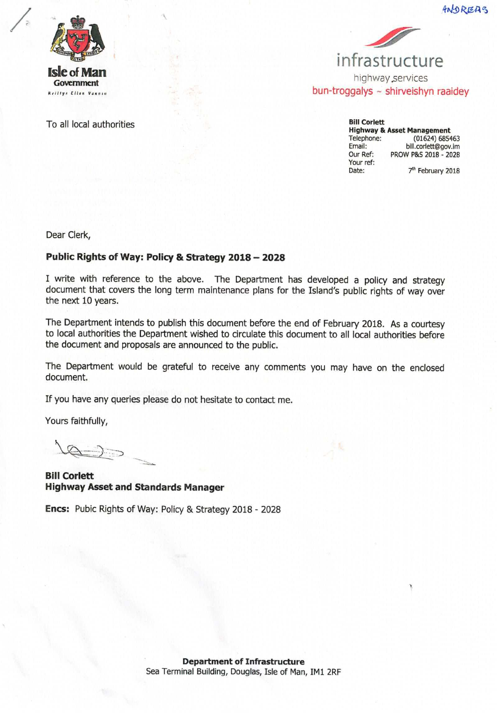

To all local authorities





**Bill Corlett Highway & Asset Management** Telephone:  $(01624) 685463$ bill.corlett@gov.im Fmail: Our Ref: PROW P&S 2018 - 2028 Your ref: 7<sup>th</sup> February 2018 Date:

Dear Clerk,

## Public Rights of Way: Policy & Strategy 2018 - 2028

I write with reference to the above. The Department has developed a policy and strategy document that covers the long term maintenance plans for the Island's public rights of way over the next 10 years.

The Department intends to publish this document before the end of February 2018. As a courtesy to local authorities the Department wished to circulate this document to all local authorities before the document and proposals are announced to the public.

The Department would be grateful to receive any comments you may have on the enclosed document.

If you have any queries please do not hesitate to contact me.

Yours faithfully,

**Bill Corlett Highway Asset and Standards Manager** 

Encs: Pubic Rights of Way: Policy & Strategy 2018 - 2028